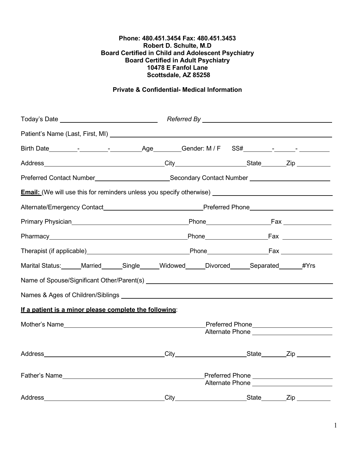#### **Phone: 480.451.3454 Fax: 480.451.3453 Robert D. Schulte, M.D Board Certified in Child and Adolescent Psychiatry Board Certified in Adult Psychiatry 10478 E Fanfol Lane Scottsdale, AZ 85258**

# **Private & Confidential- Medical Information**

|                                                                                            | Preferred Contact Number____________________________Secondary Contact Number _______________________                                                    |
|--------------------------------------------------------------------------------------------|---------------------------------------------------------------------------------------------------------------------------------------------------------|
|                                                                                            | <b>Email:</b> (We will use this for reminders unless you specify otherwise) <b>Email:</b> (We will use this for reminders unless you specify otherwise) |
|                                                                                            |                                                                                                                                                         |
|                                                                                            |                                                                                                                                                         |
|                                                                                            |                                                                                                                                                         |
|                                                                                            |                                                                                                                                                         |
| Marital Status: Married ______Single _____Widowed _____Divorced ______Separated ______#Yrs |                                                                                                                                                         |
|                                                                                            |                                                                                                                                                         |
|                                                                                            |                                                                                                                                                         |
| If a patient is a minor please complete the following:                                     |                                                                                                                                                         |
|                                                                                            | _Preferred Phone_________________________<br>Alternate Phone New York Network                                                                           |
|                                                                                            |                                                                                                                                                         |
| Father's Name                                                                              | Alternate Phone ______________________                                                                                                                  |
| Address                                                                                    |                                                                                                                                                         |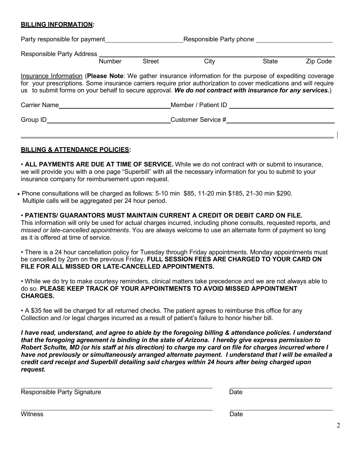#### **BILLING INFORMATION:**

| Party responsible for payment                                                                                                                                                                                                                                                                                                                 |               | Responsible Party phone |                    |              |          |
|-----------------------------------------------------------------------------------------------------------------------------------------------------------------------------------------------------------------------------------------------------------------------------------------------------------------------------------------------|---------------|-------------------------|--------------------|--------------|----------|
| Responsible Party Address                                                                                                                                                                                                                                                                                                                     | <b>Number</b> | <b>Street</b>           | City               | <b>State</b> | Zip Code |
| Insurance Information (Please Note: We gather insurance information for the purpose of expediting coverage<br>for your prescriptions. Some insurance carriers require prior authorization to cover medications and will require<br>us to submit forms on your behalf to secure approval. We do not contract with insurance for any services.) |               |                         |                    |              |          |
| Member / Patient ID<br><b>Carrier Name</b>                                                                                                                                                                                                                                                                                                    |               |                         |                    |              |          |
| Group ID                                                                                                                                                                                                                                                                                                                                      |               |                         | Customer Service # |              |          |

## **BILLING & ATTENDANCE POLICIES:**

• **ALL PAYMENTS ARE DUE AT TIME OF SERVICE.** While we do not contract with or submit to insurance, we will provide you with a one page "Superbill" with all the necessary information for you to submit to your insurance company for reimbursement upon request.

• Phone consultations will be charged as follows: 5-10 min \$85, 11-20 min \$185, 21-30 min \$290. Multiple calls will be aggregated per 24 hour period.

• **PATIENTS/ GUARANTORS MUST MAINTAIN CURRENT A CREDIT OR DEBIT CARD ON FILE.** This information will only be used for actual charges incurred, including phone consults, requested reports, and *missed or late-cancelled appointments*. You are always welcome to use an alternate form of payment so long as it is offered at time of service.

• There is a 24 hour cancellation policy for Tuesday through Friday appointments. Monday appointments must be cancelled by 2pm on the previous Friday. **FULL SESSION FEES ARE CHARGED TO YOUR CARD ON FILE FOR ALL MISSED OR LATE-CANCELLED APPOINTMENTS.**

• While we do try to make courtesy reminders, clinical matters take precedence and we are not always able to do so. **PLEASE KEEP TRACK OF YOUR APPOINTMENTS TO AVOID MISSED APPOINTMENT CHARGES.**

• A \$35 fee will be charged for all returned checks. The patient agrees to reimburse this office for any Collection and /or legal charges incurred as a result of patient's failure to honor his/her bill.

*I have read, understand, and agree to abide by the foregoing billing & attendance policies. I understand that the foregoing agreement is binding in the state of Arizona. I hereby give express permission to* Robert Schulte, MD (or his staff at his direction) to charge my card on file for charges incurred where I *have not previously or simultaneously arranged alternate payment. I understand that I will be emailed a credit card receipt and Superbill detailing said charges within 24 hours after being charged upon request.*

Responsible Party Signature **Date** Date Date

witness **Date**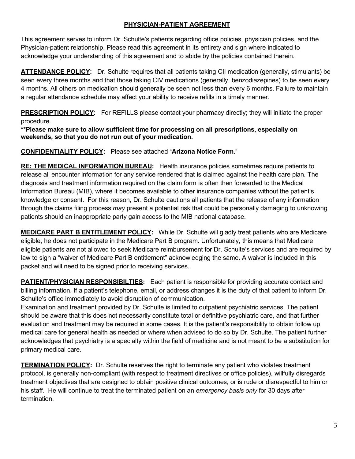## **PHYSICIAN-PATIENT AGREEMENT**

This agreement serves to inform Dr. Schulte's patients regarding office policies, physician policies, and the Physician-patient relationship. Please read this agreement in its entirety and sign where indicated to acknowledge your understanding of this agreement and to abide by the policies contained therein.

**ATTENDANCE POLICY:** Dr. Schulte requires that all patients taking CII medication (generally, stimulants) be seen every three months and that those taking CIV medications (generally, benzodiazepines) to be seen every 4 months. All others on medication should generally be seen not less than every 6 months. Failure to maintain a regular attendance schedule may affect your ability to receive refills in a timely manner.

**PRESCRIPTION POLICY:** For REFILLS please contact your pharmacy directly; they will initiate the proper

procedure.

**\*\*Please make sure to allow sufficient time for processing on all prescriptions, especially on weekends, so that you do not run out of your medication.**

**CONFIDENTIALITY POLICY:** Please see attached "**Arizona Notice Form**."

**RE: THE MEDICAL INFORMATION BUREAU:** Health insurance policies sometimes require patients to release all encounter information for any service rendered that is claimed against the health care plan. The diagnosis and treatment information required on the claim form is often then forwarded to the Medical Information Bureau (MIB), where it becomes available to other insurance companies without the patient's knowledge or consent. For this reason, Dr. Schulte cautions all patients that the release of any information through the claims filing process *may* present a potential risk that could be personally damaging to unknowing patients should an inappropriate party gain access to the MIB national database.

**MEDICARE PART B ENTITLEMENT POLICY:** While Dr. Schulte will gladly treat patients who are Medicare eligible, he does not participate in the Medicare Part B program. Unfortunately, this means that Medicare eligible patients are not allowed to seek Medicare reimbursement for Dr. Schulte's services and are required by law to sign a "waiver of Medicare Part B entitlement" acknowledging the same. A waiver is included in this packet and will need to be signed prior to receiving services.

**PATIENT/PHYSICIAN RESPONSIBILTIES:** Each patient is responsible for providing accurate contact and billing information. If a patient's telephone, email, or address changes it is the duty of that patient to inform Dr. Schulte's office immediately to avoid disruption of communication.

Examination and treatment provided by Dr. Schulte is limited to outpatient psychiatric services. The patient should be aware that this does not necessarily constitute total or definitive psychiatric care, and that further evaluation and treatment may be required in some cases. It is the patient's responsibility to obtain follow up medical care for general health as needed or where when advised to do so by Dr. Schulte. The patient further acknowledges that psychiatry is a specialty within the field of medicine and is not meant to be a substitution for primary medical care.

**TERMINATION POLICY:** Dr. Schulte reserves the right to terminate any patient who violates treatment protocol, is generally non-compliant (with respect to treatment directives or office policies), willfully disregards treatment objectives that are designed to obtain positive clinical outcomes, or is rude or disrespectful to him or his staff. He will continue to treat the terminated patient on an *emergency basis only* for 30 days after termination.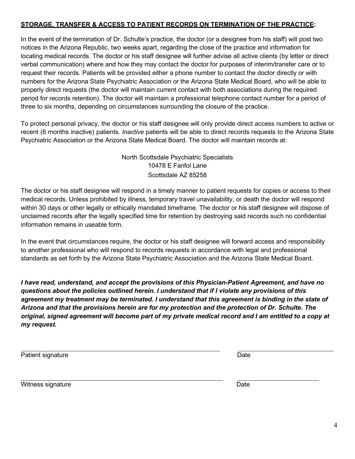### **STORAGE, TRANSFER & ACCESS TO PATIENT RECORDS ON TERMINATION OF THE PRACTICE:**

In the event of the termination of Dr. Schulte's practice, the doctor (or a designee from his staff) will post two notices in the Arizona Republic, two weeks apart, regarding the close of the practice and information for locating medical records. The doctor or his staff designee will further advise all active clients (by letter or direct verbal communication) where and how they may contact the doctor for purposes of interim/transfer care or to request their records. Patients will be provided either a phone number to contact the doctor directly or with numbers for the Arizona State Psychiatric Association or the Arizona State Medical Board, who will be able to properly direct requests (the doctor will maintain current contact with both associations during the required period for records retention). The doctor will maintain a professional telephone contact number for a period of three to six months, depending on circumstances surrounding the closure of the practice.

To protect personal privacy, the doctor or his staff designee will only provide direct access numbers to active or recent (6 months inactive) patients. *Inactive* patients will be able to direct records requests to the Arizona State Psychiatric Association or the Arizona State Medical Board. The doctor will maintain records at:

> North Scottsdale Psychiatric Specialists 10478 E Fanfol Lane Scottsdale AZ 85258

The doctor or his staff designee will respond in a timely manner to patient requests for copies or access to their medical records. Unless prohibited by illness, temporary travel unavailability, or death the doctor will respond within 30 days or other legally or ethically mandated timeframe. The doctor or his staff designee will dispose of unclaimed records after the legally specified time for retention by destroying said records such no confidential information remains in useable form.

In the event that circumstances require, the doctor or his staff designee will forward access and responsibility to another professional who will respond to records requests in accordance with legal and professional standards as set forth by the Arizona State Psychiatric Association and the Arizona State Medical Board.

*I have read, understand, and accept the provisions of this Physician-Patient Agreement, and have no questions about the policies outlined herein. I understand that if I violate any provisions of this agreement my treatment may be terminated. I understand that this agreement is binding in the state of Arizona and that the provisions herein are for my protection and the protection of Dr. Schulte. The original, signed agreement will become part of my private medical record and I am entitled to a copy at my request.*

| Patient signature | Date |  |
|-------------------|------|--|
| Witness signature | Date |  |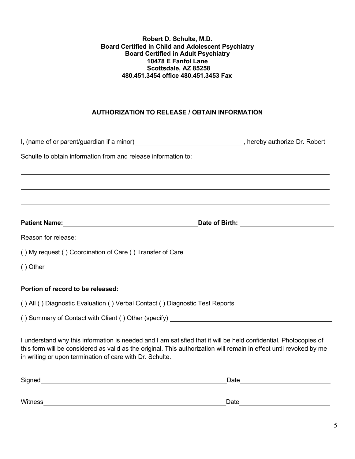#### **Robert D. Schulte, M.D. Board Certified in Child and Adolescent Psychiatry Board Certified in Adult Psychiatry 10478 E Fanfol Lane Scottsdale, AZ 85258 480.451.3454 office 480.451.3453 Fax**

## **AUTHORIZATION TO RELEASE / OBTAIN INFORMATION**

| I, (name of or parent/guardian if a minor)__________________________________, hereby authorize Dr. Robert                                                                                                                                                                                           |                                                                                                                                                                                                                                |  |  |  |
|-----------------------------------------------------------------------------------------------------------------------------------------------------------------------------------------------------------------------------------------------------------------------------------------------------|--------------------------------------------------------------------------------------------------------------------------------------------------------------------------------------------------------------------------------|--|--|--|
| Schulte to obtain information from and release information to:                                                                                                                                                                                                                                      |                                                                                                                                                                                                                                |  |  |  |
|                                                                                                                                                                                                                                                                                                     |                                                                                                                                                                                                                                |  |  |  |
| ,我们也不会有什么?""我们的人,我们也不会有什么?""我们的人,我们也不会有什么?""我们的人,我们也不会有什么?""我们的人,我们也不会有什么?""我们的人                                                                                                                                                                                                                    |                                                                                                                                                                                                                                |  |  |  |
| ,我们也不会有什么。""我们的人,我们也不会有什么?""我们的人,我们也不会有什么?""我们的人,我们也不会有什么?""我们的人,我们也不会有什么?""我们的人                                                                                                                                                                                                                    |                                                                                                                                                                                                                                |  |  |  |
| Patient Name: Name: Name and Alliance Control of Birth: Name and Alliance Control of Birth: Name and Alliance Control of Birth: Name and Alliance Control of Birth: Name and Alliance Control of Birth: Name and Alliance Cont                                                                      |                                                                                                                                                                                                                                |  |  |  |
| Reason for release:                                                                                                                                                                                                                                                                                 |                                                                                                                                                                                                                                |  |  |  |
| () My request () Coordination of Care () Transfer of Care                                                                                                                                                                                                                                           |                                                                                                                                                                                                                                |  |  |  |
|                                                                                                                                                                                                                                                                                                     |                                                                                                                                                                                                                                |  |  |  |
| Portion of record to be released:                                                                                                                                                                                                                                                                   |                                                                                                                                                                                                                                |  |  |  |
| () All () Diagnostic Evaluation () Verbal Contact () Diagnostic Test Reports                                                                                                                                                                                                                        |                                                                                                                                                                                                                                |  |  |  |
|                                                                                                                                                                                                                                                                                                     |                                                                                                                                                                                                                                |  |  |  |
| I understand why this information is needed and I am satisfied that it will be held confidential. Photocopies of<br>this form will be considered as valid as the original. This authorization will remain in effect until revoked by me<br>in writing or upon termination of care with Dr. Schulte. |                                                                                                                                                                                                                                |  |  |  |
|                                                                                                                                                                                                                                                                                                     | Date and the contract of the contract of the contract of the contract of the contract of the contract of the contract of the contract of the contract of the contract of the contract of the contract of the contract of the c |  |  |  |

Witness Date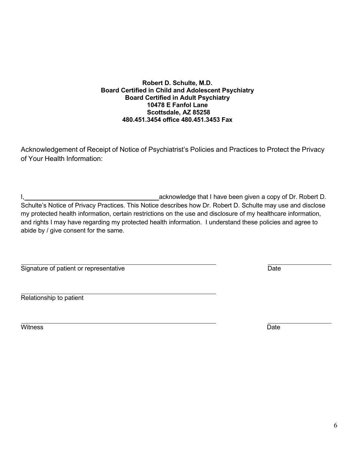6

#### **Robert D. Schulte, M.D. Board Certified in Child and Adolescent Psychiatry Board Certified in Adult Psychiatry 10478 E Fanfol Lane Scottsdale, AZ 85258 480.451.3454 office 480.451.3453 Fax**

Acknowledgement of Receipt of Notice of Psychiatrist's Policies and Practices to Protect the Privacy of Your Health Information:

I, 1, 2008 acknowledge that I have been given a copy of Dr. Robert D. Schulte's Notice of Privacy Practices. This Notice describes how Dr. Robert D. Schulte may use and disclose my protected health information, certain restrictions on the use and disclosure of my healthcare information, and rights I may have regarding my protected health information. I understand these policies and agree to abide by / give consent for the same.

| Signature of patient or representative |  |
|----------------------------------------|--|
|----------------------------------------|--|

Relationship to patient

witness **Date**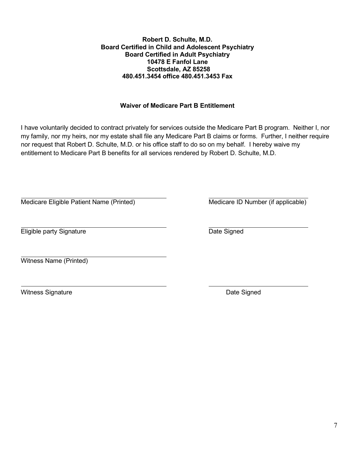### **Robert D. Schulte, M.D. Board Certified in Child and Adolescent Psychiatry Board Certified in Adult Psychiatry 10478 E Fanfol Lane Scottsdale, AZ 85258 480.451.3454 office 480.451.3453 Fax**

# **Waiver of Medicare Part B Entitlement**

I have voluntarily decided to contract privately for services outside the Medicare Part B program. Neither I, nor my family, nor my heirs, nor my estate shall file any Medicare Part B claims or forms. Further, I neither require nor request that Robert D. Schulte, M.D. or his office staff to do so on my behalf. I hereby waive my entitlement to Medicare Part B benefits for all services rendered by Robert D. Schulte, M.D.

Medicare Eligible Patient Name (Printed) Medicare ID Number (if applicable)

**Eligible party Signature Community Community** Date Signed

Witness Name (Printed)

Witness Signature **Date Signed Contract Signature Date Signed**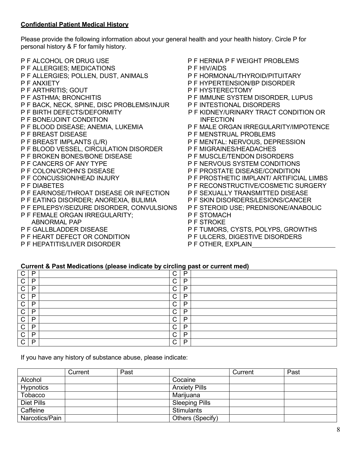### **Confidential Patient Medical History**

Please provide the following information about your general health and your health history. Circle P for personal history & F for family history.

- P F ALCOHOL OR DRUG USE P F HERNIA P F WEIGHT PROBLEMS<br>P F ALLERGIES: MEDICATIONS P F HIV/AIDS **P F ALLERGIES; MEDICATIONS** P F ALLERGIES; POLLEN, DUST, ANIMALS P F HORMONAL/THYROID/PITUITARY<br>P F ANXIETY P F HYPERTENSION/BP DISORDER P F HYPERTENSION/BP DISORDER P F ARTHRITIS: GOUT P F HYSTERECTOMY P F ASTHMA; BRONCHITIS P F IMMUNE SYSTEM DISORDER, LUPUS P F BACK, NECK, SPINE, DISC PROBLEMS/INJUR P F INTESTIONAL DISORDERS P F BIRTH DEFECTS/DEFORMITY P F KIDNEY/URINARY TRACT CONDITION OR P F BONE/JOINT CONDITION INFECTION P F BLOOD DISEASE; ANEMIA, LUKEMIA P F MALE ORGAN IRREGULARITY/IMPOTENCE P F BREAST DISEASE P F MENSTRUAL PROBLEMS<br>P F BREAST IMPLANTS (L/R) P F MENTAL: NERVOUS, DEP P F MENTAL: NERVOUS, DEPRESSION P F BLOOD VESSEL, CIRCULATION DISORDER P F MIGRAINES/HEADACHES P F BROKEN BONES/BONE DISEASE P F MUSCLE/TENDON DISORDERS P F CANCERS OF ANY TYPE P F NERVOUS SYSTEM CONDITIONS P F COLON/CROHN'S DISEASE P F PROSTATE DISEASE/CONDITION<br>P F CONCUSSION/HEAD INJURY P F PROSTHETIC IMPLANT/ ARTIFICI P F PROSTHETIC IMPLANT/ ARTIFICIAL LIMBS P F DIABETES P F RECONSTRUCTIVE/COSMETIC SURGERY P F EAR/NOSE/THROAT DISEASE OR INFECTION P F SEXUALLY TRANSMITTED DISEASE P F EATING DISORDER; ANOREXIA, BULIMIA P F SKIN DISORDERS/LESIONS/CANCER P F EPILEPSY/SEIZURE DISORDER, CONVULSIONS P F STEROID USE; PREDNISONE/ANABOLIC P F FEMALE ORGAN IRREGULARITY; P F STOMACH ABNORMAL PAP P F STROKE P F TUMORS, CYSTS, POLYPS, GROWTHS P F HEART DEFECT OR CONDITION P F ULCERS, DIGESTIVE DISORDERS
- P F HEPATITIS/LIVER DISORDER P F OTHER, EXPLAIN
- -

### **Current & Past Medications (please indicate by circling past or current med)**

| $\sim$<br>◡  | P  | $\sim$<br>◡ | P |  |
|--------------|----|-------------|---|--|
| $\mathsf{C}$ | P  | $\sim$<br>◡ | P |  |
| $\cap$<br>◡  | D. | $\cap$<br>◡ | P |  |
| $\cap$<br>◡  | D  | $\sim$<br>◡ | P |  |
| $\cap$<br>◡  | D  | $\sim$<br>◡ | P |  |
| $\sim$<br>◡  | D  | $\sim$<br>◡ | P |  |
| $\cap$<br>◡  | D  | $\sim$<br>◡ | D |  |
| $\cap$<br>◡  | D  | $\sim$<br>◡ | D |  |
| $\mathsf{C}$ | D  | $\sim$<br>◡ | P |  |
| $\cap$       | D. | $\sim$<br>◡ | P |  |

If you have any history of substance abuse, please indicate:

|                | Current | Past |                       | Current | Past |
|----------------|---------|------|-----------------------|---------|------|
| Alcohol        |         |      | Cocaine               |         |      |
| Hypnotics      |         |      | <b>Anxiety Pills</b>  |         |      |
| Tobacco        |         |      | Marijuana             |         |      |
| Diet Pills     |         |      | <b>Sleeping Pills</b> |         |      |
| Caffeine       |         |      | <b>Stimulants</b>     |         |      |
| Narcotics/Pain |         |      | Others (Specify)      |         |      |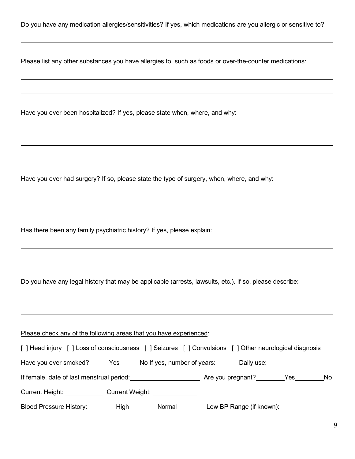Do you have any medication allergies/sensitivities? If yes, which medications are you allergic or sensitive to?

Please list any other substances you have allergies to, such as foods or over-the-counter medications:

Have you ever been hospitalized? If yes, please state when, where, and why:

Have you ever had surgery? If so, please state the type of surgery, when, where, and why:

Has there been any family psychiatric history? If yes, please explain:

Do you have any legal history that may be applicable (arrests, lawsuits, etc.). If so, please describe:

Please check any of the following areas that you have experienced:

| [] Head injury [] Loss of consciousness [] Seizures [] Convulsions [] Other neurological diagnosis |                 |        |                               |     |
|----------------------------------------------------------------------------------------------------|-----------------|--------|-------------------------------|-----|
| Have you ever smoked? ______Yes ______No If yes, number of years:                                  |                 |        | Daily use: __________________ |     |
| If female, date of last menstrual period:                                                          |                 |        | Are you pregnant? Ves         | No. |
| Current Height: Current Section                                                                    | Current Weight: |        |                               |     |
| Blood Pressure History:                                                                            | _High           | Normal | Low BP Range (if known):      |     |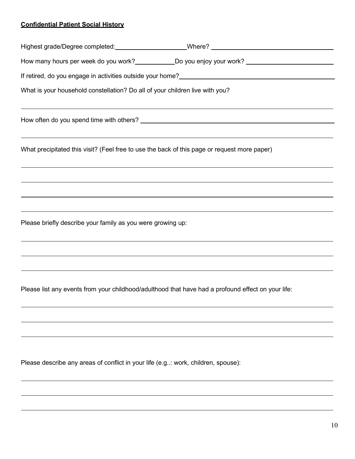# **Confidential Patient Social History**

| How many hours per week do you work? ______________Do you enjoy your work? _________________________                                                                                                                            |  |
|---------------------------------------------------------------------------------------------------------------------------------------------------------------------------------------------------------------------------------|--|
| If retired, do you engage in activities outside your home?<br><u>Surface and the manual contract and the manual contract and the manual contract and the manual contract and th</u>                                             |  |
| What is your household constellation? Do all of your children live with you?<br>,我们也不能在这里的时候,我们也不能在这里的时候,我们也不能不能不能不能不能不能不能不能不能不能不能不能不能不能不能。<br>第2012章 我们的时候,我们的时候,我们的时候,我们的时候,我们的时候,我们的时候,我们的时候,我们的时候,我们的时候,我们的时候,我们的时候,我们的时候,我 |  |
|                                                                                                                                                                                                                                 |  |
| <u> 1989 - Johann Stoff, amerikansk politiker (d. 1989)</u><br>What precipitated this visit? (Feel free to use the back of this page or request more paper)                                                                     |  |
| ,我们也不能在这里的时候,我们也不能在这里的时候,我们也不能不能不能不能不能不能不能不能不能不能不能不能不能不能不能。<br>第2012章 我们的时候,我们的时候,我们的时候,我们的时候,我们的时候,我们的时候,我们的时候,我们的时候,我们的时候,我们的时候,我们的时候,我们的时候,我                                                                                 |  |
| <u> 1989 - Andrea Santana, amerikana amerikana amerikana amerikana amerikana amerikana amerikana amerikana amerika</u>                                                                                                          |  |
| ,我们也不会有什么。""我们的人,我们也不会有什么?""我们的人,我们也不会有什么?""我们的人,我们也不会有什么?""我们的人,我们也不会有什么?""我们的人<br>Please briefly describe your family as you were growing up:                                                                                 |  |
| ,我们也不能在这里的时候,我们也不能在这里的时候,我们也不能会不能会不能会不能会不能会不能会不能会不能会不能会不能会。<br>第2012章 我们的时候,我们的时候,我们的时候,我们的时候,我们的时候,我们的时候,我们的时候,我们的时候,我们的时候,我们的时候,我们的时候,我们的时候,我                                                                                 |  |
| Please list any events from your childhood/adulthood that have had a profound effect on your life:                                                                                                                              |  |

Please describe any areas of conflict in your life (e.g..: work, children, spouse):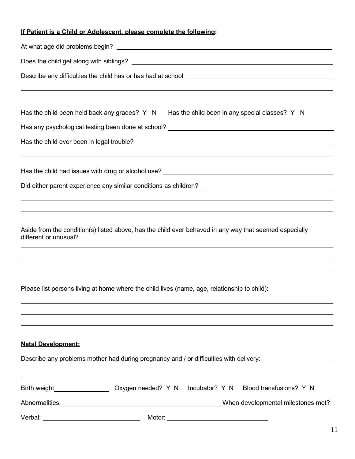# **If Patient is a Child or Adolescent, please complete the following:**

|                                           | Has the child been held back any grades? $Y \ N$ Has the child been in any special classes? Y N                                                                                            |  |  |  |  |
|-------------------------------------------|--------------------------------------------------------------------------------------------------------------------------------------------------------------------------------------------|--|--|--|--|
|                                           | Has any psychological testing been done at school? <u>New York and the second of the second</u> second the second of                                                                       |  |  |  |  |
|                                           |                                                                                                                                                                                            |  |  |  |  |
|                                           | Has the child had issues with drug or alcohol use? ______________________________                                                                                                          |  |  |  |  |
|                                           |                                                                                                                                                                                            |  |  |  |  |
|                                           |                                                                                                                                                                                            |  |  |  |  |
|                                           |                                                                                                                                                                                            |  |  |  |  |
| different or unusual?                     | Aside from the condition(s) listed above, has the child ever behaved in any way that seemed especially<br>,我们也不会有什么。""我们的人,我们也不会有什么?""我们的人,我们也不会有什么?""我们的人,我们也不会有什么?""我们的人,我们也不会有什么?""我们的人 |  |  |  |  |
|                                           |                                                                                                                                                                                            |  |  |  |  |
|                                           |                                                                                                                                                                                            |  |  |  |  |
|                                           | Please list persons living at home where the child lives (name, age, relationship to child):                                                                                               |  |  |  |  |
|                                           | ,我们也不会有什么。""我们的人,我们也不会有什么?""我们的人,我们也不会有什么?""我们的人,我们也不会有什么?""我们的人,我们也不会有什么?""我们的人                                                                                                           |  |  |  |  |
|                                           |                                                                                                                                                                                            |  |  |  |  |
| <b>Natal Development:</b>                 |                                                                                                                                                                                            |  |  |  |  |
|                                           | Describe any problems mother had during pregnancy and / or difficulties with delivery:                                                                                                     |  |  |  |  |
|                                           |                                                                                                                                                                                            |  |  |  |  |
|                                           | Birth weight________________________ Oxygen needed? Y N Incubator? Y N Blood transfusions? Y N                                                                                             |  |  |  |  |
|                                           | When developmental milestones met?                                                                                                                                                         |  |  |  |  |
| Verbal: _________________________________ |                                                                                                                                                                                            |  |  |  |  |